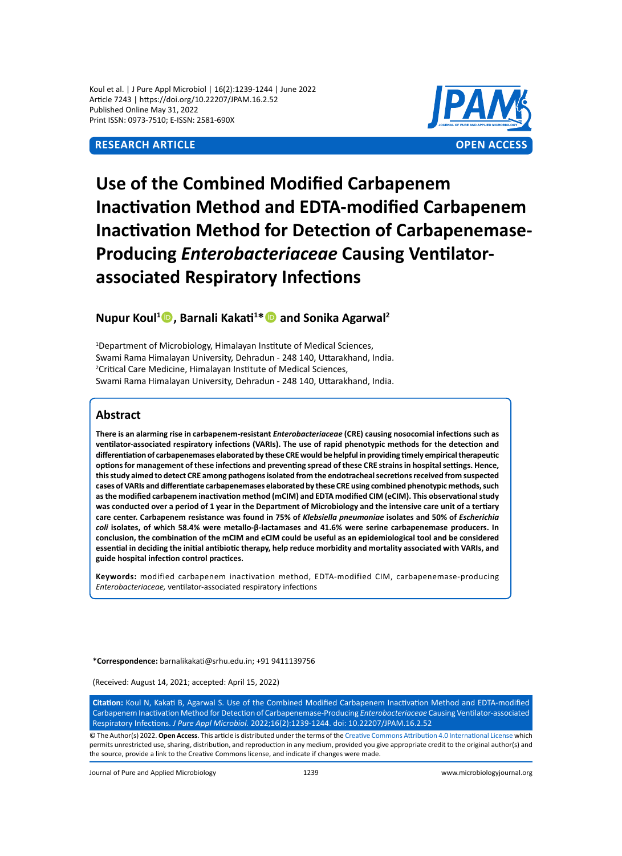# **Research Article OPEN ACCESS**



# **Use of the Combined Modified Carbapenem Inactivation Method and EDTA-modified Carbapenem Inactivation Method for Detection of Carbapenemase-Producing** *Enterobacteriaceae* **Causing Ventilatorassociated Respiratory Infections**

# **Nupur Koul<sup>1</sup> , Barnali Kakati<sup>1</sup> \* and Sonika Agarwal<sup>2</sup>**

<sup>1</sup>Department of Microbiology, Himalayan Institute of Medical Sciences, Swami Rama Himalayan University, Dehradun - 248 140, Uttarakhand, India. 2 Critical Care Medicine, Himalayan Institute of Medical Sciences, Swami Rama Himalayan University, Dehradun - 248 140, Uttarakhand, India.

# **Abstract**

**There is an alarming rise in carbapenem-resistant** *Enterobacteriaceae* **(CRE) causing nosocomial infections such as ventilator-associated respiratory infections (VARIs). The use of rapid phenotypic methods for the detection and differentiation of carbapenemases elaborated by these CRE would be helpful in providing timely empirical therapeutic options for management of these infections and preventing spread of these CRE strains in hospital settings. Hence, this study aimed to detect CRE among pathogens isolated from the endotracheal secretions received from suspected cases of VARIs and differentiate carbapenemases elaborated by these CRE using combined phenotypic methods, such as the modified carbapenem inactivation method (mCIM) and EDTA modified CIM (eCIM). This observational study was conducted over a period of 1 year in the Department of Microbiology and the intensive care unit of a tertiary care center. Carbapenem resistance was found in 75% of** *Klebsiella pneumoniae* **isolates and 50% of** *Escherichia coli* **isolates, of which 58.4% were metallo-β-lactamases and 41.6% were serine carbapenemase producers. In conclusion, the combination of the mCIM and eCIM could be useful as an epidemiological tool and be considered essential in deciding the initial antibiotic therapy, help reduce morbidity and mortality associated with VARIs, and guide hospital infection control practices.**

**Keywords:** modified carbapenem inactivation method, EDTA-modified CIM, carbapenemase-producing *Enterobacteriaceae,* ventilator-associated respiratory infections

**\*Correspondence:** barnalikakati@srhu.edu.in; +91 9411139756

(Received: August 14, 2021; accepted: April 15, 2022)

**Citation:** Koul N, Kakati B, Agarwal S. Use of the Combined Modified Carbapenem Inactivation Method and EDTA-modified Carbapenem Inactivation Method for Detection of Carbapenemase-Producing *Enterobacteriaceae* Causing Ventilator-associated Respiratory Infections. *J Pure Appl Microbiol.* 2022;16(2):1239-1244. doi: 10.22207/JPAM.16.2.52

© The Author(s) 2022. **Open Access**. This article is distributed under the terms of the [Creative Commons Attribution 4.0 International License](https://creativecommons.org/licenses/by/4.0/) which permits unrestricted use, sharing, distribution, and reproduction in any medium, provided you give appropriate credit to the original author(s) and the source, provide a link to the Creative Commons license, and indicate if changes were made.

Journal of Pure and Applied Microbiology 1239 www.microbiologyjournal.org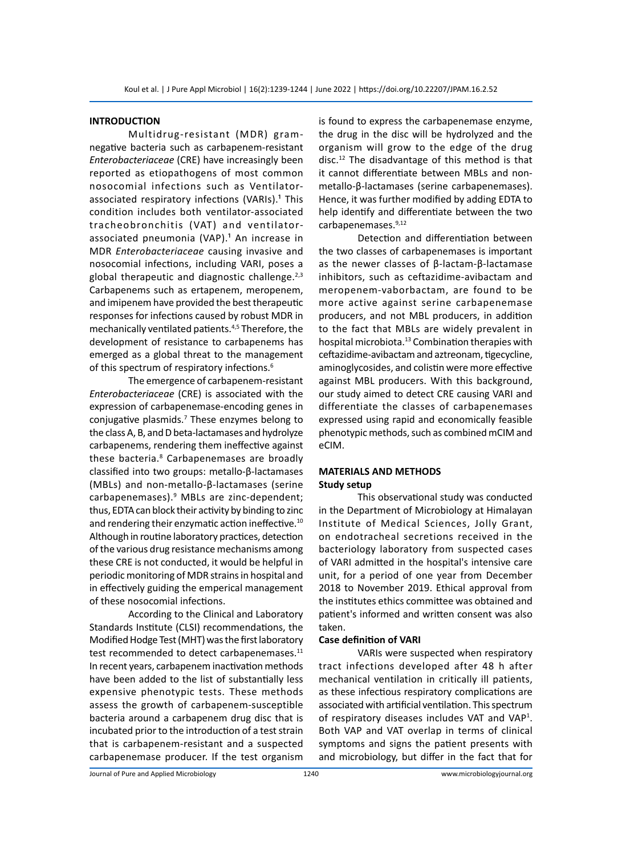# **INTRODUCTION**

Multidrug-resistant (MDR) gramnegative bacteria such as carbapenem-resistant *Enterobacteriaceae* (CRE) have increasingly been reported as etiopathogens of most common nosocomial infections such as Ventilatorassociated respiratory infections (VARIs).<sup>1</sup> This condition includes both ventilator-associated tracheobronchitis (VAT) and ventilatorassociated pneumonia (VAP).<sup>1</sup> An increase in MDR *Enterobacteriaceae* causing invasive and nosocomial infections, including VARI, poses a global therapeutic and diagnostic challenge. $2,3$ Carbapenems such as ertapenem, meropenem, and imipenem have provided the best therapeutic responses for infections caused by robust MDR in mechanically ventilated patients.4,5 Therefore, the development of resistance to carbapenems has emerged as a global threat to the management of this spectrum of respiratory infections.<sup>6</sup>

The emergence of carbapenem-resistant *Enterobacteriaceae* (CRE) is associated with the expression of carbapenemase-encoding genes in conjugative plasmids.7 These enzymes belong to the class A, B, and D beta-lactamases and hydrolyze carbapenems, rendering them ineffective against these bacteria.<sup>8</sup> Carbapenemases are broadly classified into two groups: metallo-β-lactamases (MBLs) and non-metallo-β-lactamases (serine carbapenemases).9 MBLs are zinc-dependent; thus, EDTA can block their activity by binding to zinc and rendering their enzymatic action ineffective.<sup>10</sup> Although in routine laboratory practices, detection of the various drug resistance mechanisms among these CRE is not conducted, it would be helpful in periodic monitoring of MDR strains in hospital and in effectively guiding the emperical management of these nosocomial infections.

According to the Clinical and Laboratory Standards Institute (CLSI) recommendations, the Modified Hodge Test (MHT) was the first laboratory test recommended to detect carbapenemases.<sup>11</sup> In recent years, carbapenem inactivation methods have been added to the list of substantially less expensive phenotypic tests. These methods assess the growth of carbapenem-susceptible bacteria around a carbapenem drug disc that is incubated prior to the introduction of a test strain that is carbapenem-resistant and a suspected carbapenemase producer. If the test organism is found to express the carbapenemase enzyme, the drug in the disc will be hydrolyzed and the organism will grow to the edge of the drug disc.12 The disadvantage of this method is that it cannot differentiate between MBLs and nonmetallo-β-lactamases (serine carbapenemases). Hence, it was further modified by adding EDTA to help identify and differentiate between the two carbapenemases.9,12

Detection and differentiation between the two classes of carbapenemases is important as the newer classes of β-lactam-β-lactamase inhibitors, such as ceftazidime-avibactam and meropenem-vaborbactam, are found to be more active against serine carbapenemase producers, and not MBL producers, in addition to the fact that MBLs are widely prevalent in hospital microbiota.<sup>13</sup> Combination therapies with ceftazidime-avibactam and aztreonam, tigecycline, aminoglycosides, and colistin were more effective against MBL producers. With this background, our study aimed to detect CRE causing VARI and differentiate the classes of carbapenemases expressed using rapid and economically feasible phenotypic methods, such as combined mCIM and eCIM.

## **MATERIALS AND METHODS Study setup**

This observational study was conducted in the Department of Microbiology at Himalayan Institute of Medical Sciences, Jolly Grant, on endotracheal secretions received in the bacteriology laboratory from suspected cases of VARI admitted in the hospital's intensive care unit, for a period of one year from December 2018 to November 2019. Ethical approval from the institutes ethics committee was obtained and patient's informed and written consent was also taken.

#### **Case definition of VARI**

VARIs were suspected when respiratory tract infections developed after 48 h after mechanical ventilation in critically ill patients, as these infectious respiratory complications are associated with artificial ventilation. This spectrum of respiratory diseases includes VAT and VAP<sup>1</sup>. Both VAP and VAT overlap in terms of clinical symptoms and signs the patient presents with and microbiology, but differ in the fact that for

Journal of Pure and Applied Microbiology 1240 www.microbiologyjournal.org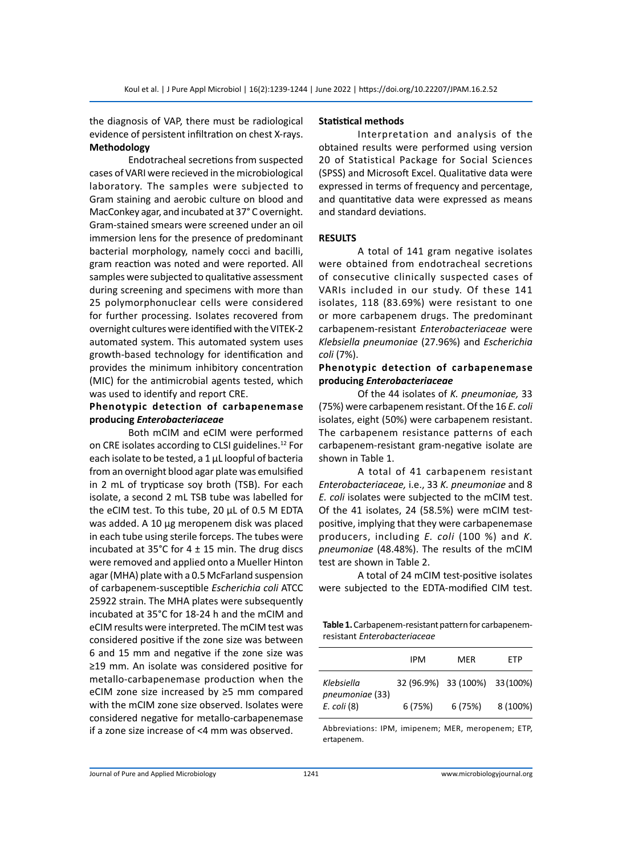# the diagnosis of VAP, there must be radiological evidence of persistent infiltration on chest X-rays. **Methodology**

Endotracheal secretions from suspected cases of VARI were recieved in the microbiological laboratory. The samples were subjected to Gram staining and aerobic culture on blood and MacConkey agar, and incubated at 37° C overnight. Gram-stained smears were screened under an oil immersion lens for the presence of predominant bacterial morphology, namely cocci and bacilli, gram reaction was noted and were reported. All samples were subjected to qualitative assessment during screening and specimens with more than 25 polymorphonuclear cells were considered for further processing. Isolates recovered from overnight cultures were identified with the VITEK-2 automated system. This automated system uses growth-based technology for identification and provides the minimum inhibitory concentration (MIC) for the antimicrobial agents tested, which was used to identify and report CRE.

# **Phenotypic detection of carbapenemase producing** *Enterobacteriaceae*

Both mCIM and eCIM were performed on CRE isolates according to CLSI guidelines.<sup>12</sup> For each isolate to be tested, a 1 μL loopful of bacteria from an overnight blood agar plate was emulsified in 2 mL of trypticase soy broth (TSB). For each isolate, a second 2 mL TSB tube was labelled for the eCIM test. To this tube, 20 μL of 0.5 M EDTA was added. A 10 μg meropenem disk was placed in each tube using sterile forceps. The tubes were incubated at 35°C for  $4 \pm 15$  min. The drug discs were removed and applied onto a Mueller Hinton agar (MHA) plate with a 0.5 McFarland suspension of carbapenem-susceptible *Escherichia coli* ATCC 25922 strain. The MHA plates were subsequently incubated at 35°C for 18-24 h and the mCIM and eCIM results were interpreted. The mCIM test was considered positive if the zone size was between 6 and 15 mm and negative if the zone size was ≥19 mm. An isolate was considered positive for metallo-carbapenemase production when the eCIM zone size increased by ≥5 mm compared with the mCIM zone size observed. Isolates were considered negative for metallo-carbapenemase if a zone size increase of <4 mm was observed.

#### **Statistical methods**

Interpretation and analysis of the obtained results were performed using version 20 of Statistical Package for Social Sciences (SPSS) and Microsoft Excel. Qualitative data were expressed in terms of frequency and percentage, and quantitative data were expressed as means and standard deviations.

## **RESULTS**

A total of 141 gram negative isolates were obtained from endotracheal secretions of consecutive clinically suspected cases of VARIs included in our study. Of these 141 isolates, 118 (83.69%) were resistant to one or more carbapenem drugs. The predominant carbapenem-resistant *Enterobacteriaceae* were *Klebsiella pneumoniae* (27.96%) and *Escherichia coli* (7%).

## **Phenotypic detection of carbapenemase producing** *Enterobacteriaceae*

Of the 44 isolates of *K. pneumoniae,* 33 (75%) were carbapenem resistant. Of the 16 *E. coli*  isolates, eight (50%) were carbapenem resistant. The carbapenem resistance patterns of each carbapenem-resistant gram-negative isolate are shown in Table 1.

A total of 41 carbapenem resistant *Enterobacteriaceae,* i.e., 33 *K. pneumoniae* and 8 *E. coli* isolates were subjected to the mCIM test. Of the 41 isolates, 24 (58.5%) were mCIM testpositive, implying that they were carbapenemase producers, including *E. coli* (100 %) and *K. pneumoniae* (48.48%). The results of the mCIM test are shown in Table 2.

A total of 24 mCIM test-positive isolates were subjected to the EDTA-modified CIM test.

**Table 1.** Carbapenem-resistant pattern for carbapenemresistant *Enterobacteriaceae*

|                               | IPM     | MER                            | FTP      |  |
|-------------------------------|---------|--------------------------------|----------|--|
| Klebsiella<br>pneumoniae (33) |         | 32 (96.9%) 33 (100%) 33 (100%) |          |  |
| $E.$ coli $(8)$               | 6 (75%) | 6 (75%)                        | 8 (100%) |  |

Abbreviations: IPM, imipenem; MER, meropenem; ETP, ertapenem.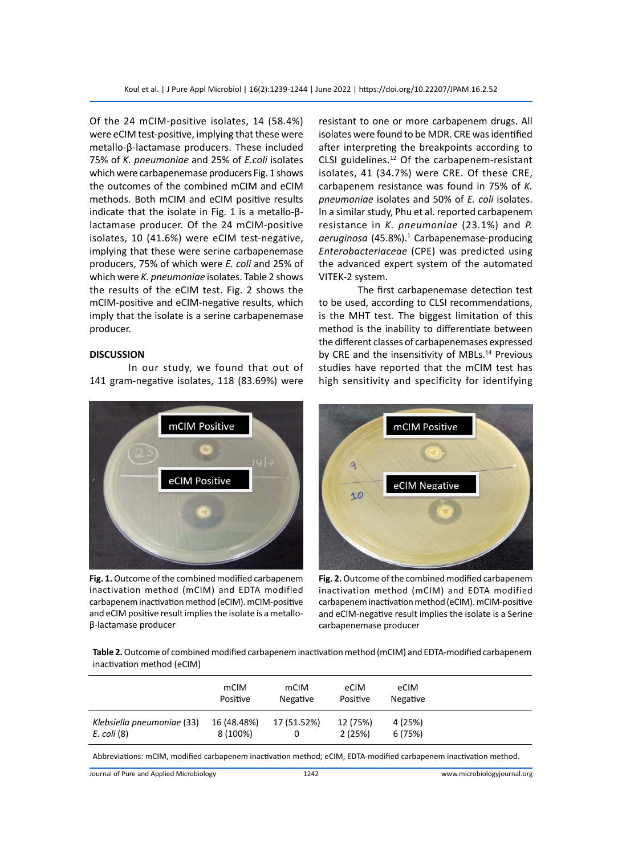Of the 24 mCIM-positive isolates, 14 (58.4%) were eCIM test-positive, implying that these were metallo-β-lactamase producers. These included 75% of *K. pneumoniae* and 25% of *E.coli* isolates which were carbapenemase producers Fig. 1 shows the outcomes of the combined mCIM and eCIM methods. Both mCIM and eCIM positive results indicate that the isolate in Fig. 1 is a metallo-βlactamase producer. Of the 24 mCIM-positive isolates, 10 (41.6%) were eCIM test-negative, implying that these were serine carbapenemase producers, 75% of which were *E. coli* and 25% of which were *K. pneumoniae* isolates. Table 2 shows the results of the eCIM test. Fig. 2 shows the mCIM-positive and eCIM-negative results, which imply that the isolate is a serine carbapenemase producer.

#### **DISCUSSION**

In our study, we found that out of 141 gram-negative isolates, 118 (83.69%) were



**Fig. 1.** Outcome of the combined modified carbapenem inactivation method (mCIM) and EDTA modified carbapenem inactivation method (eCIM). mCIM-positive and eCIM positive result implies the isolate is a metalloβ-lactamase producer

resistant to one or more carbapenem drugs. All isolates were found to be MDR. CRE was identified after interpreting the breakpoints according to CLSI guidelines.<sup>12</sup> Of the carbapenem-resistant isolates, 41 (34.7%) were CRE. Of these CRE, carbapenem resistance was found in 75% of *K. pneumoniae* isolates and 50% of *E. coli* isolates. In a similar study, Phu et al. reported carbapenem resistance in *K. pneumoniae* (23.1%) and *P.*  aeruginosa (45.8%).<sup>1</sup> Carbapenemase-producing *Enterobacteriaceae* (CPE) was predicted using the advanced expert system of the automated VITEK-2 system.

The first carbapenemase detection test to be used, according to CLSI recommendations, is the MHT test. The biggest limitation of this method is the inability to differentiate between the different classes of carbapenemases expressed by CRE and the insensitivity of MBLs.<sup>14</sup> Previous studies have reported that the mCIM test has high sensitivity and specificity for identifying



**Fig. 2.** Outcome of the combined modified carbapenem inactivation method (mCIM) and EDTA modified carbapenem inactivation method (eCIM). mCIM-positive and eCIM-negative result implies the isolate is a Serine carbapenemase producer

**Table 2.** Outcome of combined modified carbapenem inactivation method (mCIM) and EDTA-modified carbapenem inactivation method (eCIM)

|                                               | mCIM<br>Positive        | mCIM<br>Negative | eCIM<br>Positive   | eCIM<br>Negative   |  |
|-----------------------------------------------|-------------------------|------------------|--------------------|--------------------|--|
| Klebsiella pneumoniae (33)<br>$E.$ coli $(8)$ | 16 (48.48%)<br>8 (100%) | 17 (51.52%)      | 12 (75%)<br>2(25%) | 4 (25%)<br>6 (75%) |  |

Abbreviations: mCIM, modified carbapenem inactivation method; eCIM, EDTA-modified carbapenem inactivation method.

Journal of Pure and Applied Microbiology 1242 www.microbiologyjournal.org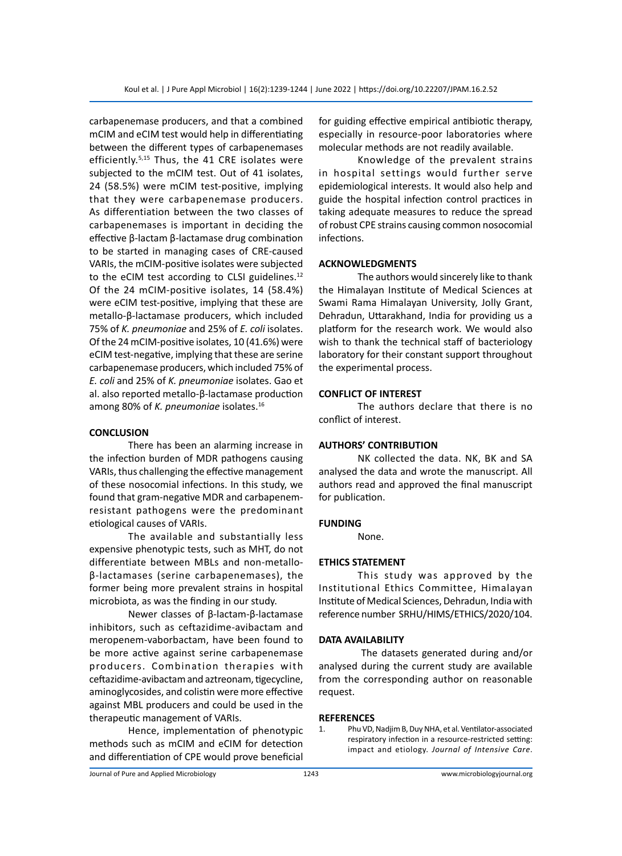carbapenemase producers, and that a combined mCIM and eCIM test would help in differentiating between the different types of carbapenemases efficiently.<sup>5,15</sup> Thus, the 41 CRE isolates were subjected to the mCIM test. Out of 41 isolates, 24 (58.5%) were mCIM test-positive, implying that they were carbapenemase producers. As differentiation between the two classes of carbapenemases is important in deciding the effective β-lactam β-lactamase drug combination to be started in managing cases of CRE-caused VARIs, the mCIM-positive isolates were subjected to the eCIM test according to CLSI guidelines.<sup>12</sup> Of the 24 mCIM-positive isolates, 14 (58.4%) were eCIM test-positive, implying that these are metallo-β-lactamase producers, which included 75% of *K. pneumoniae* and 25% of *E. coli* isolates. Of the 24 mCIM-positive isolates, 10 (41.6%) were eCIM test-negative, implying that these are serine carbapenemase producers, which included 75% of *E. coli* and 25% of *K. pneumoniae* isolates. Gao et al. also reported metallo-β-lactamase production among 80% of *K. pneumoniae* isolates.16

#### **CONCLUSION**

There has been an alarming increase in the infection burden of MDR pathogens causing VARIs, thus challenging the effective management of these nosocomial infections. In this study, we found that gram-negative MDR and carbapenemresistant pathogens were the predominant etiological causes of VARIs.

The available and substantially less expensive phenotypic tests, such as MHT, do not differentiate between MBLs and non-metalloβ-lactamases (serine carbapenemases), the former being more prevalent strains in hospital microbiota, as was the finding in our study.

Newer classes of β-lactam-β-lactamase inhibitors, such as ceftazidime-avibactam and meropenem-vaborbactam, have been found to be more active against serine carbapenemase producers. Combination therapies with ceftazidime-avibactam and aztreonam, tigecycline, aminoglycosides, and colistin were more effective against MBL producers and could be used in the therapeutic management of VARIs.

Hence, implementation of phenotypic methods such as mCIM and eCIM for detection and differentiation of CPE would prove beneficial for guiding effective empirical antibiotic therapy, especially in resource-poor laboratories where molecular methods are not readily available.

Knowledge of the prevalent strains in hospital settings would further serve epidemiological interests. It would also help and guide the hospital infection control practices in taking adequate measures to reduce the spread of robust CPE strains causing common nosocomial infections.

## **ACKNOWLEDGMENTS**

The authors would sincerely like to thank the Himalayan Institute of Medical Sciences at Swami Rama Himalayan University, Jolly Grant, Dehradun, Uttarakhand, India for providing us a platform for the research work. We would also wish to thank the technical staff of bacteriology laboratory for their constant support throughout the experimental process.

#### **CONFLICT OF INTEREST**

The authors declare that there is no conflict of interest.

#### **AUTHORS' CONTRIBUTION**

NK collected the data. NK, BK and SA analysed the data and wrote the manuscript. All authors read and approved the final manuscript for publication.

#### **FUNDING**

None.

# **ETHICS STATEMENT**

This study was approved by the Institutional Ethics Committee, Himalayan Institute of Medical Sciences, Dehradun, India with reference number SRHU/HIMS/ETHICS/2020/104.

### **DATA AVAILABILITY**

 The datasets generated during and/or analysed during the current study are available from the corresponding author on reasonable request.

#### **REFERENCES**

1. Phu VD, Nadjim B, Duy NHA, et al. Ventilator-associated respiratory infection in a resource-restricted setting: impact and etiology. *Journal of Intensive Care*.